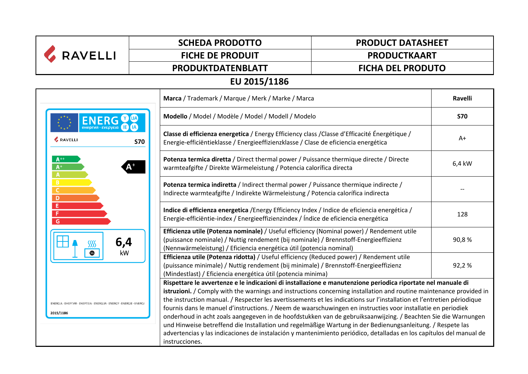| <b>RAVELLI</b>                                                                     | <b>SCHEDA PRODOTTO</b>                                                                                                                                                                                                                                                                                                                                                                                                                                                                                                                                                                                                                                                                                                                                                                                                                                | <b>PRODUCT DATASHEET</b> |  |  |
|------------------------------------------------------------------------------------|-------------------------------------------------------------------------------------------------------------------------------------------------------------------------------------------------------------------------------------------------------------------------------------------------------------------------------------------------------------------------------------------------------------------------------------------------------------------------------------------------------------------------------------------------------------------------------------------------------------------------------------------------------------------------------------------------------------------------------------------------------------------------------------------------------------------------------------------------------|--------------------------|--|--|
|                                                                                    | <b>FICHE DE PRODUIT</b>                                                                                                                                                                                                                                                                                                                                                                                                                                                                                                                                                                                                                                                                                                                                                                                                                               | <b>PRODUCTKAART</b>      |  |  |
|                                                                                    | PRODUKTDATENBLATT                                                                                                                                                                                                                                                                                                                                                                                                                                                                                                                                                                                                                                                                                                                                                                                                                                     | <b>FICHA DEL PRODUTO</b> |  |  |
| EU 2015/1186                                                                       |                                                                                                                                                                                                                                                                                                                                                                                                                                                                                                                                                                                                                                                                                                                                                                                                                                                       |                          |  |  |
|                                                                                    | Marca / Trademark / Marque / Merk / Marke / Marca                                                                                                                                                                                                                                                                                                                                                                                                                                                                                                                                                                                                                                                                                                                                                                                                     | Ravelli                  |  |  |
|                                                                                    | Modello / Model / Modèle / Model / Modell / Modelo                                                                                                                                                                                                                                                                                                                                                                                                                                                                                                                                                                                                                                                                                                                                                                                                    | <b>S70</b>               |  |  |
| <b>&amp; RAVELLI</b>                                                               | Classe di efficienza energetica / Energy Efficiency class / Classe d'Efficacité Énergétique /<br><b>S70</b><br>Energie-efficiëntieklasse / Energieeffizienzklasse / Clase de eficiencia energética                                                                                                                                                                                                                                                                                                                                                                                                                                                                                                                                                                                                                                                    | A+                       |  |  |
| $A^{++}$<br>$A^+$<br>A                                                             | Potenza termica diretta / Direct thermal power / Puissance thermique directe / Directe<br>warmteafgifte / Direkte Wärmeleistung / Potencia calorífica directa                                                                                                                                                                                                                                                                                                                                                                                                                                                                                                                                                                                                                                                                                         | 6,4 kW                   |  |  |
| B<br>C<br>$\overline{D}$                                                           | Potenza termica indiretta / Indirect thermal power / Puissance thermique indirecte /<br>Indirecte warmteafgifte / Indirekte Wärmeleistung / Potencia calorífica indirecta                                                                                                                                                                                                                                                                                                                                                                                                                                                                                                                                                                                                                                                                             |                          |  |  |
| Έ<br>F<br>G                                                                        | Indice di efficienza energetica / Energy Efficiency Index / Indice de eficiencia energética /<br>Energie-efficiëntie-index / Energieeffizienzindex / Índice de eficiencia energética                                                                                                                                                                                                                                                                                                                                                                                                                                                                                                                                                                                                                                                                  | 128                      |  |  |
| 6,4<br>kW                                                                          | Efficienza utile (Potenza nominale) / Useful efficiency (Nominal power) / Rendement utile<br>(puissance nominale) / Nuttig rendement (bij nominale) / Brennstoff-Energieeffizienz<br>(Nennwärmeleistung) / Eficiencia energética útil (potencia nominal)                                                                                                                                                                                                                                                                                                                                                                                                                                                                                                                                                                                              | 90,8%                    |  |  |
|                                                                                    | Efficienza utile (Potenza ridotta) / Useful efficiency (Reduced power) / Rendement utile<br>(puissance minimale) / Nuttig rendement (bij minimale) / Brennstoff-Energieeffizienz<br>(Mindestlast) / Eficiencia energética útil (potencia minima)                                                                                                                                                                                                                                                                                                                                                                                                                                                                                                                                                                                                      | 92,2%                    |  |  |
| ENERGIA · EHEPI'VA · ENEPI'EIA · ENERGIJA · ENERGY · ENERGIE · ENERGI<br>2015/1186 | Rispettare le avvertenze e le indicazioni di installazione e manutenzione periodica riportate nel manuale di<br>istruzioni. / Comply with the warnings and instructions concerning installation and routine maintenance provided in<br>the instruction manual. / Respecter les avertissements et les indications sur l'installation et l'entretien périodique<br>fournis dans le manuel d'instructions. / Neem de waarschuwingen en instructies voor installatie en periodiek<br>onderhoud in acht zoals aangegeven in de hoofdstukken van de gebruiksaanwijzing. / Beachten Sie die Warnungen<br>und Hinweise betreffend die Installation und regelmäßige Wartung in der Bedienungsanleitung. / Respete las<br>advertencias y las indicaciones de instalación y mantenimiento periódico, detalladas en los capítulos del manual de<br>instrucciones. |                          |  |  |